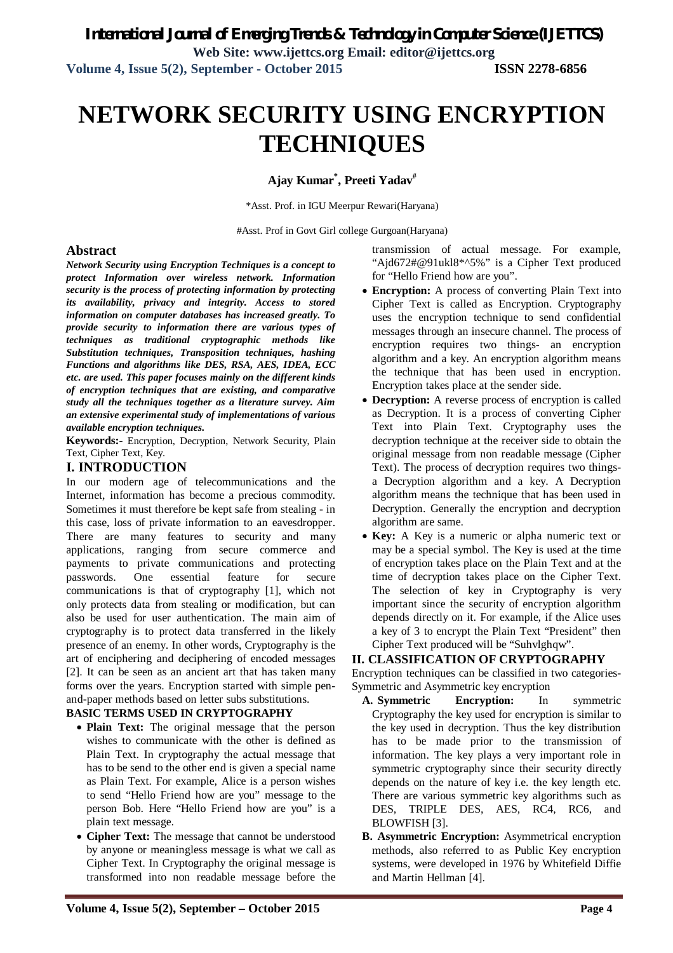# **NETWORK SECURITY USING ENCRYPTION TECHNIQUES**

**Ajay Kumar\* , Preeti Yadav#**

\*Asst. Prof. in IGU Meerpur Rewari(Haryana)

#Asst. Prof in Govt Girl college Gurgoan(Haryana)

### **Abstract**

*Network Security using Encryption Techniques is a concept to protect Information over wireless network. Information security is the process of protecting information by protecting its availability, privacy and integrity. Access to stored information on computer databases has increased greatly. To provide security to information there are various types of techniques as traditional cryptographic methods like Substitution techniques, Transposition techniques, hashing Functions and algorithms like DES, RSA, AES, IDEA, ECC etc. are used. This paper focuses mainly on the different kinds of encryption techniques that are existing, and comparative study all the techniques together as a literature survey. Aim an extensive experimental study of implementations of various available encryption techniques.*

**Keywords:-** Encryption, Decryption, Network Security, Plain Text, Cipher Text, Key.

## **I. INTRODUCTION**

In our modern age of telecommunications and the Internet, information has become a precious commodity. Sometimes it must therefore be kept safe from stealing - in this case, loss of private information to an eavesdropper. There are many features to security and many applications, ranging from secure commerce and payments to private communications and protecting passwords. One essential feature for secure communications is that of cryptography [1], which not only protects data from stealing or modification, but can also be used for user authentication. The main aim of cryptography is to protect data transferred in the likely presence of an enemy. In other words, Cryptography is the art of enciphering and deciphering of encoded messages [2]. It can be seen as an ancient art that has taken many forms over the years. Encryption started with simple penand-paper methods based on letter subs substitutions.

## **BASIC TERMS USED IN CRYPTOGRAPHY**

- **Plain Text:** The original message that the person wishes to communicate with the other is defined as Plain Text. In cryptography the actual message that has to be send to the other end is given a special name as Plain Text. For example, Alice is a person wishes to send "Hello Friend how are you" message to the person Bob. Here "Hello Friend how are you" is a plain text message.
- **Cipher Text:** The message that cannot be understood by anyone or meaningless message is what we call as Cipher Text. In Cryptography the original message is transformed into non readable message before the

transmission of actual message. For example, "Ajd672#@91ukl8\*^5%" is a Cipher Text produced for "Hello Friend how are you".

- **Encryption:** A process of converting Plain Text into Cipher Text is called as Encryption. Cryptography uses the encryption technique to send confidential messages through an insecure channel. The process of encryption requires two things- an encryption algorithm and a key. An encryption algorithm means the technique that has been used in encryption. Encryption takes place at the sender side.
- **Decryption:** A reverse process of encryption is called as Decryption. It is a process of converting Cipher Text into Plain Text. Cryptography uses the decryption technique at the receiver side to obtain the original message from non readable message (Cipher Text). The process of decryption requires two thingsa Decryption algorithm and a key. A Decryption algorithm means the technique that has been used in Decryption. Generally the encryption and decryption algorithm are same.
- **Key:** A Key is a numeric or alpha numeric text or may be a special symbol. The Key is used at the time of encryption takes place on the Plain Text and at the time of decryption takes place on the Cipher Text. The selection of key in Cryptography is very important since the security of encryption algorithm depends directly on it. For example, if the Alice uses a key of 3 to encrypt the Plain Text "President" then Cipher Text produced will be "Suhvlghqw".

#### **II. CLASSIFICATION OF CRYPTOGRAPHY**

Encryption techniques can be classified in two categories-Symmetric and Asymmetric key encryption

- **A. Symmetric Encryption:** In symmetric Cryptography the key used for encryption is similar to the key used in decryption. Thus the key distribution has to be made prior to the transmission of information. The key plays a very important role in symmetric cryptography since their security directly depends on the nature of key i.e. the key length etc. There are various symmetric key algorithms such as DES, TRIPLE DES, AES, RC4, RC6, and BLOWFISH [3].
- **B. Asymmetric Encryption:** Asymmetrical encryption methods, also referred to as Public Key encryption systems, were developed in 1976 by Whitefield Diffie and Martin Hellman [4].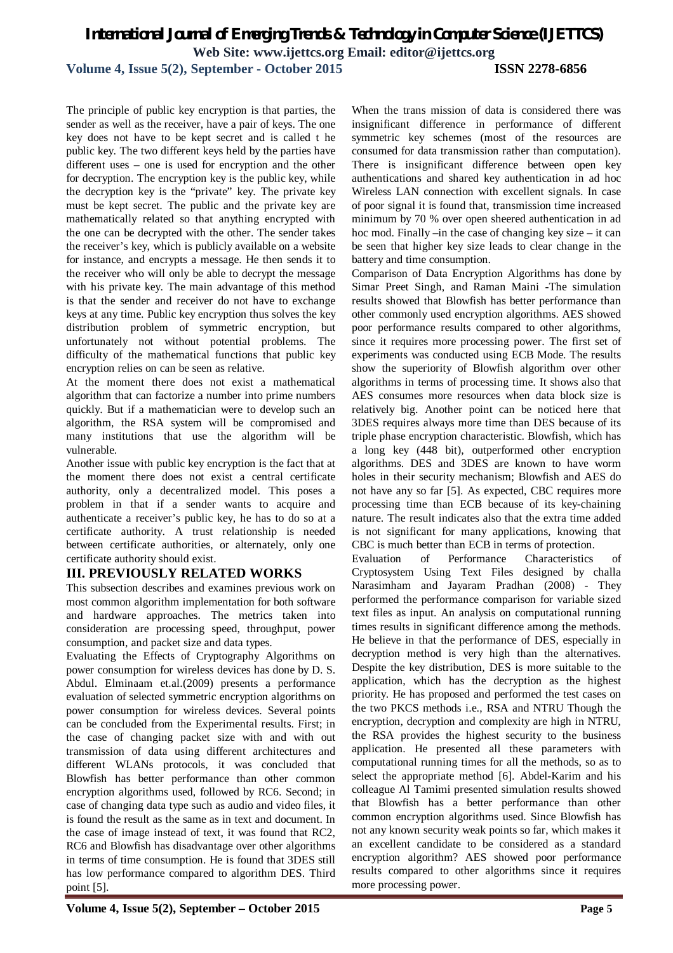## *International Journal of Emerging Trends & Technology in Computer Science (IJETTCS)* **Web Site: www.ijettcs.org Email: editor@ijettcs.org**

**Volume 4, Issue 5(2), September - October 2015 ISSN 2278-6856**

The principle of public key encryption is that parties, the sender as well as the receiver, have a pair of keys. The one key does not have to be kept secret and is called t he public key. The two different keys held by the parties have different uses – one is used for encryption and the other for decryption. The encryption key is the public key, while the decryption key is the "private" key. The private key must be kept secret. The public and the private key are mathematically related so that anything encrypted with the one can be decrypted with the other. The sender takes the receiver's key, which is publicly available on a website for instance, and encrypts a message. He then sends it to the receiver who will only be able to decrypt the message with his private key. The main advantage of this method is that the sender and receiver do not have to exchange keys at any time. Public key encryption thus solves the key distribution problem of symmetric encryption, but unfortunately not without potential problems. The difficulty of the mathematical functions that public key encryption relies on can be seen as relative.

At the moment there does not exist a mathematical algorithm that can factorize a number into prime numbers quickly. But if a mathematician were to develop such an algorithm, the RSA system will be compromised and many institutions that use the algorithm will be vulnerable.

Another issue with public key encryption is the fact that at the moment there does not exist a central certificate authority, only a decentralized model. This poses a problem in that if a sender wants to acquire and authenticate a receiver's public key, he has to do so at a certificate authority. A trust relationship is needed between certificate authorities, or alternately, only one certificate authority should exist.

## **III. PREVIOUSLY RELATED WORKS**

This subsection describes and examines previous work on most common algorithm implementation for both software and hardware approaches. The metrics taken into consideration are processing speed, throughput, power consumption, and packet size and data types.

Evaluating the Effects of Cryptography Algorithms on power consumption for wireless devices has done by D. S. Abdul. Elminaam et.al.(2009) presents a performance evaluation of selected symmetric encryption algorithms on power consumption for wireless devices. Several points can be concluded from the Experimental results. First; in the case of changing packet size with and with out transmission of data using different architectures and different WLANs protocols, it was concluded that Blowfish has better performance than other common encryption algorithms used, followed by RC6. Second; in case of changing data type such as audio and video files, it is found the result as the same as in text and document. In the case of image instead of text, it was found that RC2, RC6 and Blowfish has disadvantage over other algorithms in terms of time consumption. He is found that 3DES still has low performance compared to algorithm DES. Third point [5].

When the trans mission of data is considered there was insignificant difference in performance of different symmetric key schemes (most of the resources are consumed for data transmission rather than computation). There is insignificant difference between open key authentications and shared key authentication in ad hoc Wireless LAN connection with excellent signals. In case of poor signal it is found that, transmission time increased minimum by 70 % over open sheered authentication in ad hoc mod. Finally –in the case of changing key size – it can be seen that higher key size leads to clear change in the battery and time consumption.

Comparison of Data Encryption Algorithms has done by Simar Preet Singh, and Raman Maini -The simulation results showed that Blowfish has better performance than other commonly used encryption algorithms. AES showed poor performance results compared to other algorithms, since it requires more processing power. The first set of experiments was conducted using ECB Mode. The results show the superiority of Blowfish algorithm over other algorithms in terms of processing time. It shows also that AES consumes more resources when data block size is relatively big. Another point can be noticed here that 3DES requires always more time than DES because of its triple phase encryption characteristic. Blowfish, which has a long key (448 bit), outperformed other encryption algorithms. DES and 3DES are known to have worm holes in their security mechanism; Blowfish and AES do not have any so far [5]. As expected, CBC requires more processing time than ECB because of its key-chaining nature. The result indicates also that the extra time added is not significant for many applications, knowing that CBC is much better than ECB in terms of protection.

Evaluation of Performance Characteristics of Cryptosystem Using Text Files designed by challa Narasimham and Jayaram Pradhan (2008) - They performed the performance comparison for variable sized text files as input. An analysis on computational running times results in significant difference among the methods. He believe in that the performance of DES, especially in decryption method is very high than the alternatives. Despite the key distribution, DES is more suitable to the application, which has the decryption as the highest priority. He has proposed and performed the test cases on the two PKCS methods i.e., RSA and NTRU Though the encryption, decryption and complexity are high in NTRU, the RSA provides the highest security to the business application. He presented all these parameters with computational running times for all the methods, so as to select the appropriate method [6]. Abdel-Karim and his colleague Al Tamimi presented simulation results showed that Blowfish has a better performance than other common encryption algorithms used. Since Blowfish has not any known security weak points so far, which makes it an excellent candidate to be considered as a standard encryption algorithm? AES showed poor performance results compared to other algorithms since it requires more processing power.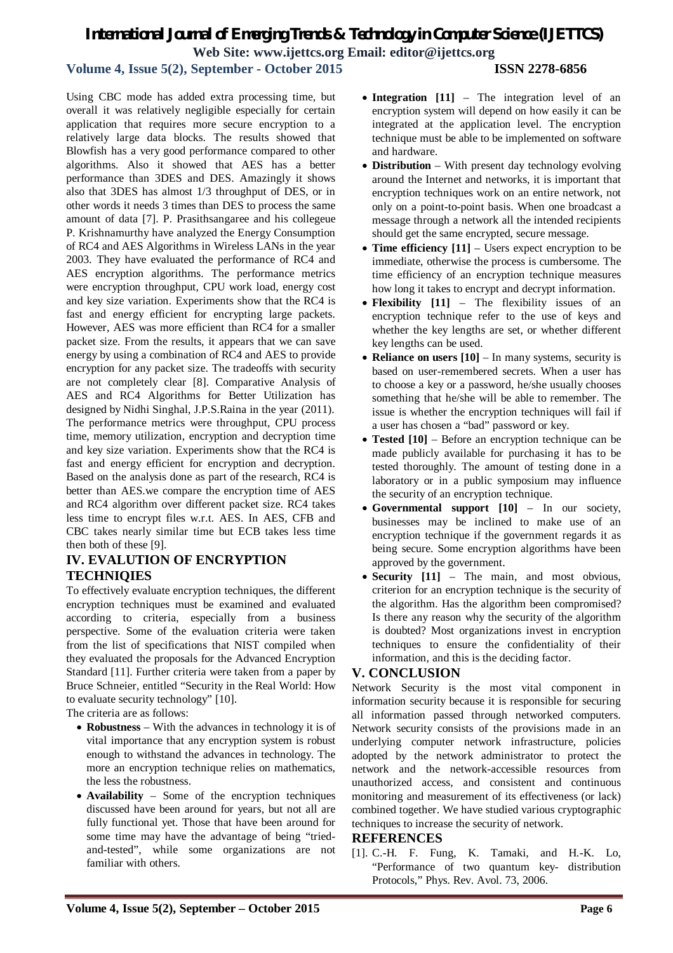# *International Journal of Emerging Trends & Technology in Computer Science (IJETTCS)* **Web Site: www.ijettcs.org Email: editor@ijettcs.org**

## **Volume 4, Issue 5(2), September - October 2015 ISSN 2278-6856**

Using CBC mode has added extra processing time, but overall it was relatively negligible especially for certain application that requires more secure encryption to a relatively large data blocks. The results showed that Blowfish has a very good performance compared to other algorithms. Also it showed that AES has a better performance than 3DES and DES. Amazingly it shows also that 3DES has almost 1/3 throughput of DES, or in other words it needs 3 times than DES to process the same amount of data [7]. P. Prasithsangaree and his collegeue P. Krishnamurthy have analyzed the Energy Consumption of RC4 and AES Algorithms in Wireless LANs in the year 2003. They have evaluated the performance of RC4 and AES encryption algorithms. The performance metrics were encryption throughput, CPU work load, energy cost and key size variation. Experiments show that the RC4 is fast and energy efficient for encrypting large packets. However, AES was more efficient than RC4 for a smaller packet size. From the results, it appears that we can save energy by using a combination of RC4 and AES to provide encryption for any packet size. The tradeoffs with security are not completely clear [8]. Comparative Analysis of AES and RC4 Algorithms for Better Utilization has designed by Nidhi Singhal, J.P.S.Raina in the year (2011). The performance metrics were throughput, CPU process time, memory utilization, encryption and decryption time and key size variation. Experiments show that the RC4 is fast and energy efficient for encryption and decryption. Based on the analysis done as part of the research, RC4 is better than AES.we compare the encryption time of AES and RC4 algorithm over different packet size. RC4 takes less time to encrypt files w.r.t. AES. In AES, CFB and CBC takes nearly similar time but ECB takes less time then both of these [9].

## **IV. EVALUTION OF ENCRYPTION TECHNIQIES**

To effectively evaluate encryption techniques, the different encryption techniques must be examined and evaluated according to criteria, especially from a business perspective. Some of the evaluation criteria were taken from the list of specifications that NIST compiled when they evaluated the proposals for the Advanced Encryption Standard [11]. Further criteria were taken from a paper by Bruce Schneier, entitled "Security in the Real World: How to evaluate security technology" [10].

The criteria are as follows:

- **Robustness**  With the advances in technology it is of vital importance that any encryption system is robust enough to withstand the advances in technology. The more an encryption technique relies on mathematics, the less the robustness.
- **Availability**  Some of the encryption techniques discussed have been around for years, but not all are fully functional yet. Those that have been around for some time may have the advantage of being "triedand-tested", while some organizations are not familiar with others.
- Integration [11] The integration level of an encryption system will depend on how easily it can be integrated at the application level. The encryption technique must be able to be implemented on software and hardware.
- **Distribution**  With present day technology evolving around the Internet and networks, it is important that encryption techniques work on an entire network, not only on a point-to-point basis. When one broadcast a message through a network all the intended recipients should get the same encrypted, secure message.
- **Time efficiency [11]** Users expect encryption to be immediate, otherwise the process is cumbersome. The time efficiency of an encryption technique measures how long it takes to encrypt and decrypt information.
- **Flexibility [11]**  The flexibility issues of an encryption technique refer to the use of keys and whether the key lengths are set, or whether different key lengths can be used.
- **Reliance on users [10]** In many systems, security is based on user-remembered secrets. When a user has to choose a key or a password, he/she usually chooses something that he/she will be able to remember. The issue is whether the encryption techniques will fail if a user has chosen a "bad" password or key.
- **Tested [10]**  Before an encryption technique can be made publicly available for purchasing it has to be tested thoroughly. The amount of testing done in a laboratory or in a public symposium may influence the security of an encryption technique.
- **Governmental support [10]**  In our society, businesses may be inclined to make use of an encryption technique if the government regards it as being secure. Some encryption algorithms have been approved by the government.
- **Security [11]**  The main, and most obvious, criterion for an encryption technique is the security of the algorithm. Has the algorithm been compromised? Is there any reason why the security of the algorithm is doubted? Most organizations invest in encryption techniques to ensure the confidentiality of their information, and this is the deciding factor.

## **V. CONCLUSION**

Network Security is the most vital component in information security because it is responsible for securing all information passed through networked computers. Network security consists of the provisions made in an underlying computer network infrastructure, policies adopted by the network administrator to protect the network and the network-accessible resources from unauthorized access, and consistent and continuous monitoring and measurement of its effectiveness (or lack) combined together. We have studied various cryptographic techniques to increase the security of network.

#### **REFERENCES**

[1]. C.-H. F. Fung, K. Tamaki, and H.-K. Lo, "Performance of two quantum key- distribution Protocols," Phys. Rev. Avol. 73, 2006.